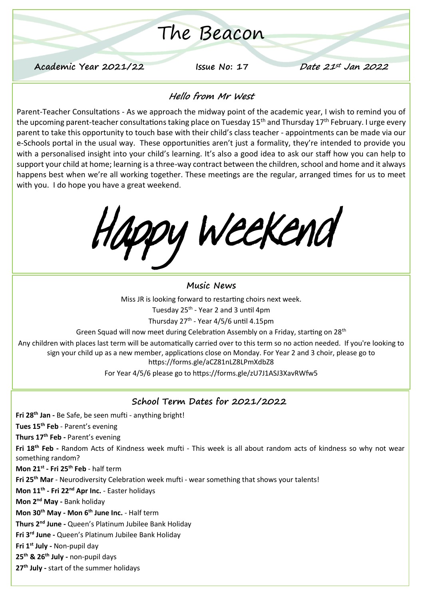# The Beacon

**Academic Year 2021/22 Issue No: 17 Date 21st Jan 2022**

#### **Hello from Mr West**

Parent-Teacher Consultations - As we approach the midway point of the academic year, I wish to remind you of the upcoming parent-teacher consultations taking place on Tuesday 15<sup>th</sup> and Thursday 17<sup>th</sup> February. I urge every parent to take this opportunity to touch base with their child's class teacher - appointments can be made via our e-Schools portal in the usual way. These opportunities aren't just a formality, they're intended to provide you with a personalised insight into your child's learning. It's also a good idea to ask our staff how you can help to support your child at home; learning is a three-way contract between the children, school and home and it always happens best when we're all working together. These meetings are the regular, arranged times for us to meet with you. I do hope you have a great weekend.

Happy Weekend

#### **Music News**

Miss JR is looking forward to restarting choirs next week.

Tuesday 25<sup>th</sup> - Year 2 and 3 until 4pm

Thursday 27<sup>th</sup> - Year 4/5/6 until 4.15pm

Green Squad will now meet during Celebration Assembly on a Friday, starting on 28th

Any children with places last term will be automatically carried over to this term so no action needed. If you're looking to sign your child up as a new member, applications close on Monday. For Year 2 and 3 choir, please go to https://forms.gle/aCZ81nLZ8LPmXdbZ8

For Year 4/5/6 please go to https://forms.gle/zU7J1ASJ3XavRWfw5

#### **School Term Dates for 2021/2022**

**Fri 28th Jan -** Be Safe, be seen mufti - anything bright!

**Tues 15th Feb** - Parent's evening

**Thurs 17th Feb -** Parent's evening

**Fri 18th Feb -** Random Acts of Kindness week mufti - This week is all about random acts of kindness so why not wear something random?

**Mon 21st - Fri 25th Feb** - half term

**Fri 25th Mar** - Neurodiversity Celebration week mufti - wear something that shows your talents!

**Mon 11th - Fri 22nd Apr Inc.** - Easter holidays

**Mon 2nd May -** Bank holiday

**Mon 30th May - Mon 6th June Inc.** - Half term

**Thurs 2nd June -** Queen's Platinum Jubilee Bank Holiday

**Fri 3rd June -** Queen's Platinum Jubilee Bank Holiday

**Fri 1st July -** Non-pupil day

**25th & 26th July -** non-pupil days

**27th July -** start of the summer holidays